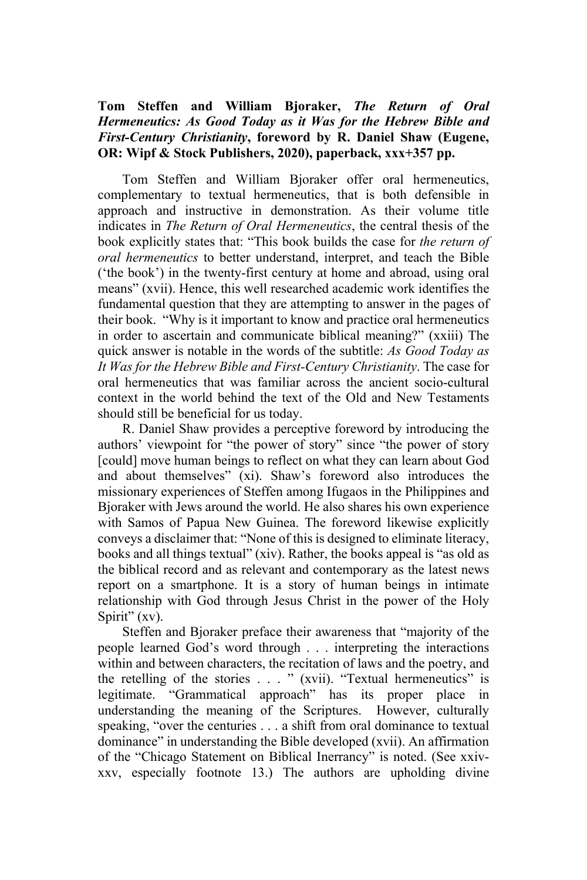## **Tom Steffen and William Bjoraker,** *The Return of Oral Hermeneutics: As Good Today as it Was for the Hebrew Bible and First-Century Christianity***, foreword by R. Daniel Shaw (Eugene, OR: Wipf & Stock Publishers, 2020), paperback, xxx+357 pp.**

Tom Steffen and William Bjoraker offer oral hermeneutics, complementary to textual hermeneutics, that is both defensible in approach and instructive in demonstration. As their volume title indicates in *The Return of Oral Hermeneutics*, the central thesis of the book explicitly states that: "This book builds the case for *the return of oral hermeneutics* to better understand, interpret, and teach the Bible ('the book') in the twenty-first century at home and abroad, using oral means" (xvii). Hence, this well researched academic work identifies the fundamental question that they are attempting to answer in the pages of their book. "Why is it important to know and practice oral hermeneutics in order to ascertain and communicate biblical meaning?" (xxiii) The quick answer is notable in the words of the subtitle: *As Good Today as It Was for the Hebrew Bible and First-Century Christianity*. The case for oral hermeneutics that was familiar across the ancient socio-cultural context in the world behind the text of the Old and New Testaments should still be beneficial for us today.

R. Daniel Shaw provides a perceptive foreword by introducing the authors' viewpoint for "the power of story" since "the power of story [could] move human beings to reflect on what they can learn about God and about themselves" (xi). Shaw's foreword also introduces the missionary experiences of Steffen among Ifugaos in the Philippines and Bjoraker with Jews around the world. He also shares his own experience with Samos of Papua New Guinea. The foreword likewise explicitly conveys a disclaimer that: "None of this is designed to eliminate literacy, books and all things textual" (xiv). Rather, the books appeal is "as old as the biblical record and as relevant and contemporary as the latest news report on a smartphone. It is a story of human beings in intimate relationship with God through Jesus Christ in the power of the Holy Spirit" (xv).

Steffen and Bjoraker preface their awareness that "majority of the people learned God's word through . . . interpreting the interactions within and between characters, the recitation of laws and the poetry, and the retelling of the stories . . . " (xvii). "Textual hermeneutics" is legitimate. "Grammatical approach" has its proper place in understanding the meaning of the Scriptures. However, culturally speaking, "over the centuries . . . a shift from oral dominance to textual dominance" in understanding the Bible developed (xvii). An affirmation of the "Chicago Statement on Biblical Inerrancy" is noted. (See xxivxxv, especially footnote 13.) The authors are upholding divine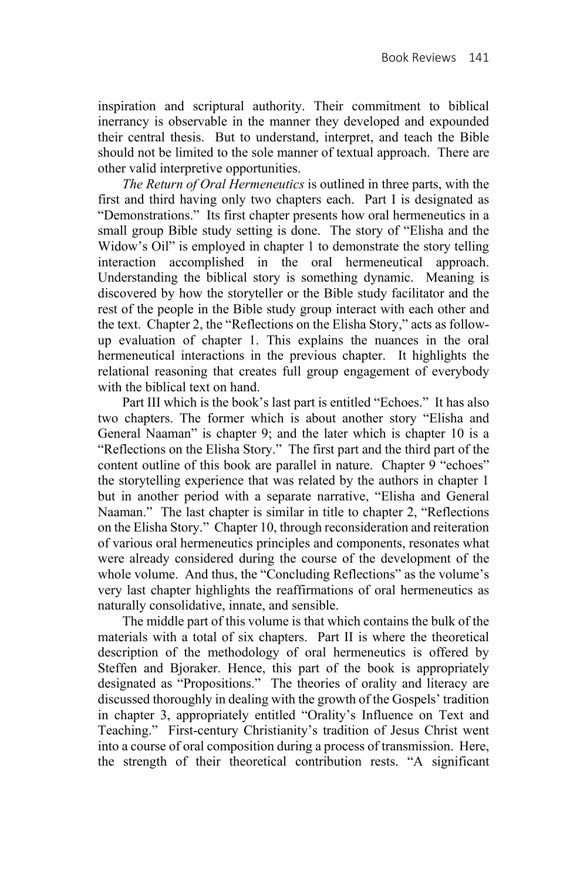inspiration and scriptural authority. Their commitment to biblical inerrancy is observable in the manner they developed and expounded their central thesis. But to understand, interpret, and teach the Bible should not be limited to the sole manner of textual approach. There are other valid interpretive opportunities.

*The Return of Oral Hermeneutics* is outlined in three parts, with the first and third having only two chapters each. Part I is designated as "Demonstrations." Its first chapter presents how oral hermeneutics in a small group Bible study setting is done. The story of "Elisha and the Widow's Oil" is employed in chapter 1 to demonstrate the story telling interaction accomplished in the oral hermeneutical approach. Understanding the biblical story is something dynamic. Meaning is discovered by how the storyteller or the Bible study facilitator and the rest of the people in the Bible study group interact with each other and the text. Chapter 2, the "Reflections on the Elisha Story," acts as followup evaluation of chapter 1. This explains the nuances in the oral hermeneutical interactions in the previous chapter. It highlights the relational reasoning that creates full group engagement of everybody with the biblical text on hand.

Part III which is the book's last part is entitled "Echoes." It has also two chapters. The former which is about another story "Elisha and General Naaman" is chapter 9; and the later which is chapter 10 is a "Reflections on the Elisha Story." The first part and the third part of the content outline of this book are parallel in nature. Chapter 9 "echoes" the storytelling experience that was related by the authors in chapter 1 but in another period with a separate narrative, "Elisha and General Naaman." The last chapter is similar in title to chapter 2, "Reflections on the Elisha Story." Chapter 10, through reconsideration and reiteration of various oral hermeneutics principles and components, resonates what were already considered during the course of the development of the whole volume. And thus, the "Concluding Reflections" as the volume's very last chapter highlights the reaffirmations of oral hermeneutics as naturally consolidative, innate, and sensible.

The middle part of this volume is that which contains the bulk of the materials with a total of six chapters. Part II is where the theoretical description of the methodology of oral hermeneutics is offered by Steffen and Bjoraker. Hence, this part of the book is appropriately designated as "Propositions." The theories of orality and literacy are discussed thoroughly in dealing with the growth of the Gospels' tradition in chapter 3, appropriately entitled "Orality's Influence on Text and Teaching." First-century Christianity's tradition of Jesus Christ went into a course of oral composition during a process of transmission. Here, the strength of their theoretical contribution rests. "A significant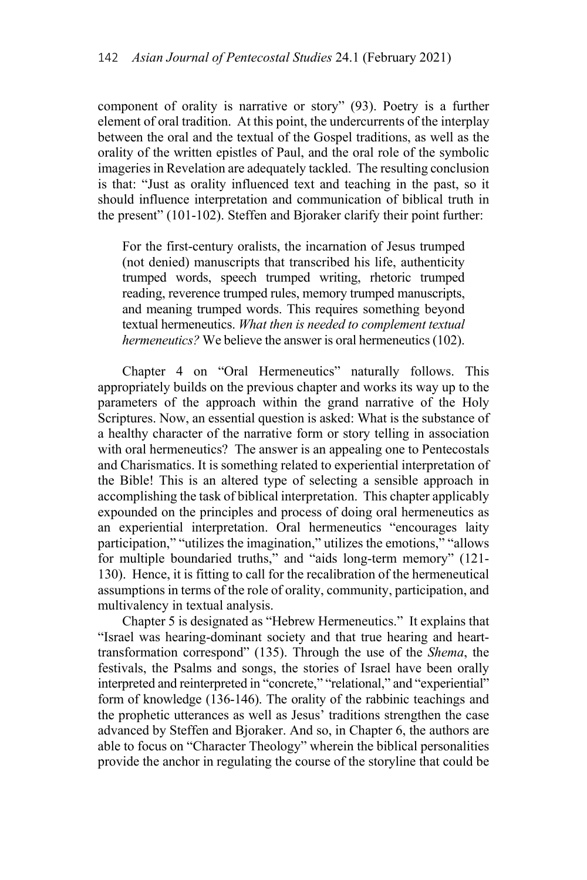component of orality is narrative or story" (93). Poetry is a further element of oral tradition. At this point, the undercurrents of the interplay between the oral and the textual of the Gospel traditions, as well as the orality of the written epistles of Paul, and the oral role of the symbolic imageries in Revelation are adequately tackled. The resulting conclusion is that: "Just as orality influenced text and teaching in the past, so it should influence interpretation and communication of biblical truth in the present" (101-102). Steffen and Bjoraker clarify their point further:

For the first-century oralists, the incarnation of Jesus trumped (not denied) manuscripts that transcribed his life, authenticity trumped words, speech trumped writing, rhetoric trumped reading, reverence trumped rules, memory trumped manuscripts, and meaning trumped words. This requires something beyond textual hermeneutics. *What then is needed to complement textual hermeneutics?* We believe the answer is oral hermeneutics (102).

Chapter 4 on "Oral Hermeneutics" naturally follows. This appropriately builds on the previous chapter and works its way up to the parameters of the approach within the grand narrative of the Holy Scriptures. Now, an essential question is asked: What is the substance of a healthy character of the narrative form or story telling in association with oral hermeneutics? The answer is an appealing one to Pentecostals and Charismatics. It is something related to experiential interpretation of the Bible! This is an altered type of selecting a sensible approach in accomplishing the task of biblical interpretation. This chapter applicably expounded on the principles and process of doing oral hermeneutics as an experiential interpretation. Oral hermeneutics "encourages laity participation," "utilizes the imagination," utilizes the emotions," "allows for multiple boundaried truths," and "aids long-term memory" (121- 130). Hence, it is fitting to call for the recalibration of the hermeneutical assumptions in terms of the role of orality, community, participation, and multivalency in textual analysis.

Chapter 5 is designated as "Hebrew Hermeneutics." It explains that "Israel was hearing-dominant society and that true hearing and hearttransformation correspond" (135). Through the use of the *Shema*, the festivals, the Psalms and songs, the stories of Israel have been orally interpreted and reinterpreted in "concrete," "relational," and "experiential" form of knowledge (136-146). The orality of the rabbinic teachings and the prophetic utterances as well as Jesus' traditions strengthen the case advanced by Steffen and Bjoraker. And so, in Chapter 6, the authors are able to focus on "Character Theology" wherein the biblical personalities provide the anchor in regulating the course of the storyline that could be